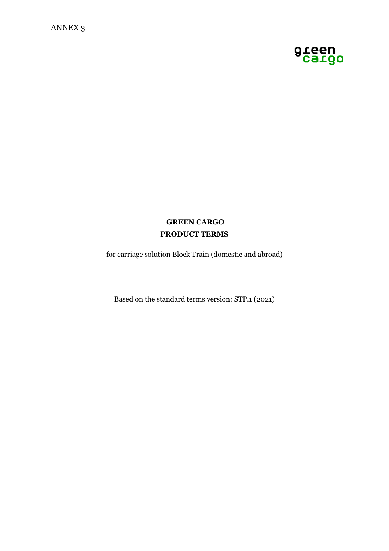

# **GREEN CARGO PRODUCT TERMS**

for carriage solution Block Train (domestic and abroad)

Based on the standard terms version: STP.1 (2021)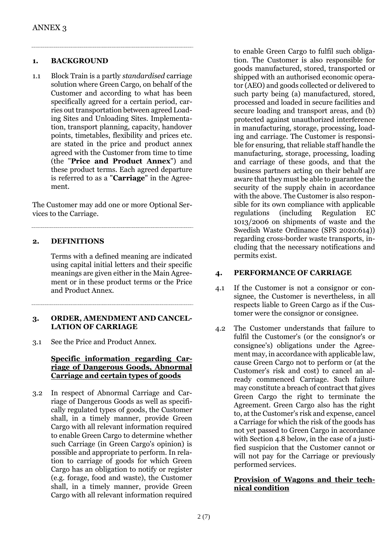#### **1. BACKGROUND**

1.1 Block Train is a partly *standardised* carriage solution where Green Cargo, on behalf of the Customer and according to what has been specifically agreed for a certain period, carries out transportation between agreed Loading Sites and Unloading Sites. Implementation, transport planning, capacity, handover points, timetables, flexibility and prices etc. are stated in the price and product annex agreed with the Customer from time to time (the "**Price and Product Annex**") and these product terms. Each agreed departure is referred to as a "**Carriage**" in the Agreement.

The Customer may add one or more Optional Services to the Carriage.

#### **2. DEFINITIONS**

Terms with a defined meaning are indicated using capital initial letters and their specific meanings are given either in the Main Agreement or in these product terms or the Price and Product Annex.

#### **3. ORDER, AMENDMENT AND CANCEL-LATION OF CARRIAGE**

3.1 See the Price and Product Annex.

# **Specific information regarding Carriage of Dangerous Goods, Abnormal Carriage and certain types of goods**

3.2 In respect of Abnormal Carriage and Carriage of Dangerous Goods as well as specifically regulated types of goods, the Customer shall, in a timely manner, provide Green Cargo with all relevant information required to enable Green Cargo to determine whether such Carriage (in Green Cargo's opinion) is possible and appropriate to perform. In relation to carriage of goods for which Green Cargo has an obligation to notify or register (e.g. forage, food and waste), the Customer shall, in a timely manner, provide Green Cargo with all relevant information required

to enable Green Cargo to fulfil such obligation. The Customer is also responsible for goods manufactured, stored, transported or shipped with an authorised economic operator (AEO) and goods collected or delivered to such party being (a) manufactured, stored, processed and loaded in secure facilities and secure loading and transport areas, and (b) protected against unauthorized interference in manufacturing, storage, processing, loading and carriage. The Customer is responsible for ensuring, that reliable staff handle the manufacturing, storage, processing, loading and carriage of these goods, and that the business partners acting on their behalf are aware that they must be able to guarantee the security of the supply chain in accordance with the above. The Customer is also responsible for its own compliance with applicable regulations (including Regulation EC 1013/2006 on shipments of waste and the Swedish Waste Ordinance (SFS 2020:614)) regarding cross-border waste transports, including that the necessary notifications and permits exist.

# **4. PERFORMANCE OF CARRIAGE**

- 4.1 If the Customer is not a consignor or consignee, the Customer is nevertheless, in all respects liable to Green Cargo as if the Customer were the consignor or consignee.
- 4.2 The Customer understands that failure to fulfil the Customer's (or the consignor's or consignee's) obligations under the Agreement may, in accordance with applicable law, cause Green Cargo not to perform or (at the Customer's risk and cost) to cancel an already commenced Carriage. Such failure may constitute a breach of contract that gives Green Cargo the right to terminate the Agreement. Green Cargo also has the right to, at the Customer's risk and expense, cancel a Carriage for which the risk of the goods has not yet passed to Green Cargo in accordance with Section 4.8 below, in the case of a justified suspicion that the Customer cannot or will not pay for the Carriage or previously performed services.

# **Provision of Wagons and their technical condition**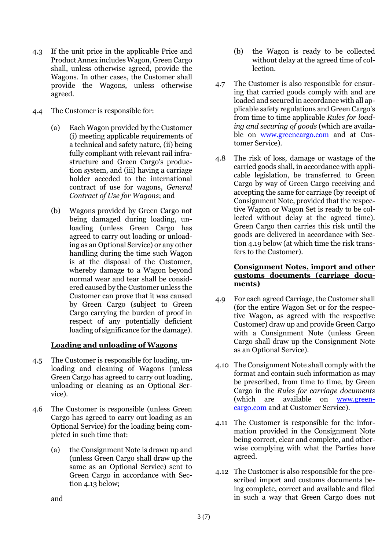- 4.3 If the unit price in the applicable Price and Product Annex includes Wagon, Green Cargo shall, unless otherwise agreed, provide the Wagons. In other cases, the Customer shall provide the Wagons, unless otherwise agreed.
- 4.4 The Customer is responsible for:
	- (a) Each Wagon provided by the Customer (i) meeting applicable requirements of a technical and safety nature, (ii) being fully compliant with relevant rail infrastructure and Green Cargo's production system, and (iii) having a carriage holder acceded to the international contract of use for wagons, *General Contract of Use for Wagons*; and
	- (b) Wagons provided by Green Cargo not being damaged during loading, unloading (unless Green Cargo has agreed to carry out loading or unloading as an Optional Service) or any other handling during the time such Wagon is at the disposal of the Customer, whereby damage to a Wagon beyond normal wear and tear shall be considered caused by the Customer unless the Customer can prove that it was caused by Green Cargo (subject to Green Cargo carrying the burden of proof in respect of any potentially deficient loading of significance for the damage).

# **Loading and unloading of Wagons**

- 4.5 The Customer is responsible for loading, unloading and cleaning of Wagons (unless Green Cargo has agreed to carry out loading, unloading or cleaning as an Optional Service).
- 4.6 The Customer is responsible (unless Green Cargo has agreed to carry out loading as an Optional Service) for the loading being completed in such time that:
	- (a) the Consignment Note is drawn up and (unless Green Cargo shall draw up the same as an Optional Service) sent to Green Cargo in accordance with Section 4.13 below;
- (b) the Wagon is ready to be collected without delay at the agreed time of collection.
- 4.7 The Customer is also responsible for ensuring that carried goods comply with and are loaded and secured in accordance with all applicable safety regulations and Green Cargo's from time to time applicable *Rules for loading and securing of goods* (which are available on [www.greencargo.com](http://www.greencargo.com/) and at Customer Service).
- 4.8 The risk of loss, damage or wastage of the carried goods shall, in accordance with applicable legislation, be transferred to Green Cargo by way of Green Cargo receiving and accepting the same for carriage (by receipt of Consignment Note, provided that the respective Wagon or Wagon Set is ready to be collected without delay at the agreed time). Green Cargo then carries this risk until the goods are delivered in accordance with Section 4.19 below (at which time the risk transfers to the Customer).

# **Consignment Notes, import and other customs documents (carriage documents)**

- 4.9 For each agreed Carriage, the Customer shall (for the entire Wagon Set or for the respective Wagon, as agreed with the respective Customer) draw up and provide Green Cargo with a Consignment Note (unless Green Cargo shall draw up the Consignment Note as an Optional Service).
- 4.10 The Consignment Note shall comply with the format and contain such information as may be prescribed, from time to time, by Green Cargo in the *Rules for carriage documents* (which are available on [www.green](http://www.greencargo.com/)[cargo.com](http://www.greencargo.com/) and at Customer Service).
- 4.11 The Customer is responsible for the information provided in the Consignment Note being correct, clear and complete, and otherwise complying with what the Parties have agreed.
- 4.12 The Customer is also responsible for the prescribed import and customs documents being complete, correct and available and filed in such a way that Green Cargo does not

and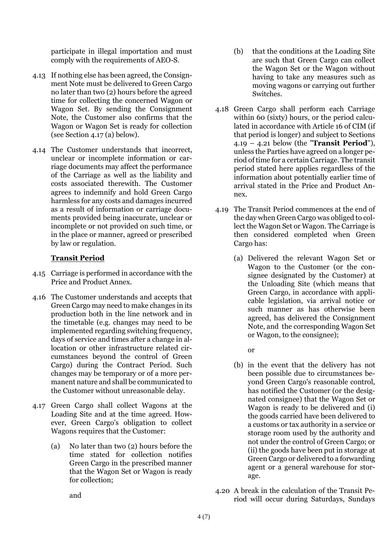participate in illegal importation and must comply with the requirements of AEO-S.

- 4.13 If nothing else has been agreed, the Consignment Note must be delivered to Green Cargo no later than two (2) hours before the agreed time for collecting the concerned Wagon or Wagon Set. By sending the Consignment Note, the Customer also confirms that the Wagon or Wagon Set is ready for collection (see Section 4.17 (a) below).
- 4.14 The Customer understands that incorrect, unclear or incomplete information or carriage documents may affect the performance of the Carriage as well as the liability and costs associated therewith. The Customer agrees to indemnify and hold Green Cargo harmless for any costs and damages incurred as a result of information or carriage documents provided being inaccurate, unclear or incomplete or not provided on such time, or in the place or manner, agreed or prescribed by law or regulation.

# **Transit Period**

- 4.15 Carriage is performed in accordance with the Price and Product Annex.
- 4.16 The Customer understands and accepts that Green Cargo may need to make changes in its production both in the line network and in the timetable (e.g. changes may need to be implemented regarding switching frequency, days of service and times after a change in allocation or other infrastructure related circumstances beyond the control of Green Cargo) during the Contract Period. Such changes may be temporary or of a more permanent nature and shall be communicated to the Customer without unreasonable delay.
- 4.17 Green Cargo shall collect Wagons at the Loading Site and at the time agreed. However, Green Cargo's obligation to collect Wagons requires that the Customer:
	- (a) No later than two (2) hours before the time stated for collection notifies Green Cargo in the prescribed manner that the Wagon Set or Wagon is ready for collection;
- (b) that the conditions at the Loading Site are such that Green Cargo can collect the Wagon Set or the Wagon without having to take any measures such as moving wagons or carrying out further Switches.
- 4.18 Green Cargo shall perform each Carriage within 60 (sixty) hours, or the period calculated in accordance with Article 16 of CIM (if that period is longer) and subject to Sections 4.19 – 4.21 below (the "**Transit Period**"), unless the Parties have agreed on a longer period of time for a certain Carriage. The transit period stated here applies regardless of the information about potentially earlier time of arrival stated in the Price and Product Annex.
- 4.19 The Transit Period commences at the end of the day when Green Cargo was obliged to collect the Wagon Set or Wagon. The Carriage is then considered completed when Green Cargo has:
	- (a) Delivered the relevant Wagon Set or Wagon to the Customer (or the consignee designated by the Customer) at the Unloading Site (which means that Green Cargo, in accordance with applicable legislation, via arrival notice or such manner as has otherwise been agreed, has delivered the Consignment Note, and the corresponding Wagon Set or Wagon, to the consignee);

or

- (b) in the event that the delivery has not been possible due to circumstances beyond Green Cargo's reasonable control, has notified the Customer (or the designated consignee) that the Wagon Set or Wagon is ready to be delivered and (i) the goods carried have been delivered to a customs or tax authority in a service or storage room used by the authority and not under the control of Green Cargo; or (ii) the goods have been put in storage at Green Cargo or delivered to a forwarding agent or a general warehouse for storage.
- 4.20 A break in the calculation of the Transit Period will occur during Saturdays, Sundays

and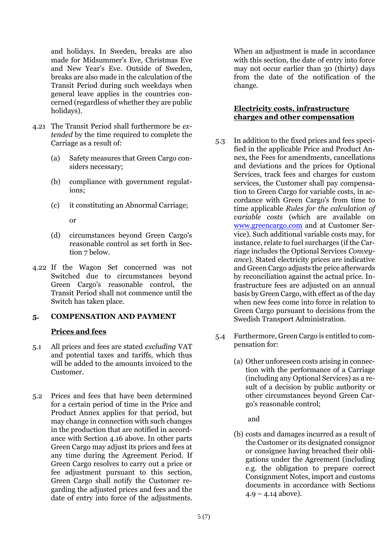and holidays. In Sweden, breaks are also made for Midsummer's Eve, Christmas Eve and New Year's Eve. Outside of Sweden, breaks are also made in the calculation of the Transit Period during such weekdays when general leave applies in the countries concerned (regardless of whether they are public holidays).

- 4.21 The Transit Period shall furthermore be *extended* by the time required to complete the Carriage as a result of:
	- (a) Safety measures that Green Cargo considers necessary;
	- (b) compliance with government regulations;
	- (c) it constituting an Abnormal Carriage;

or

- (d) circumstances beyond Green Cargo's reasonable control as set forth in Section 7 below.
- 4.22 If the Wagon Set concerned was not Switched due to circumstances beyond Green Cargo's reasonable control, the Transit Period shall not commence until the Switch has taken place.

# **5. COMPENSATION AND PAYMENT**

# **Prices and fees**

- 5.1 All prices and fees are stated *excluding* VAT and potential taxes and tariffs, which thus will be added to the amounts invoiced to the Customer.
- 5.2 Prices and fees that have been determined for a certain period of time in the Price and Product Annex applies for that period, but may change in connection with such changes in the production that are notified in accordance with Section 4.16 above. In other parts Green Cargo may adjust its prices and fees at any time during the Agreement Period. If Green Cargo resolves to carry out a price or fee adjustment pursuant to this section, Green Cargo shall notify the Customer regarding the adjusted prices and fees and the date of entry into force of the adjustments.

When an adjustment is made in accordance with this section, the date of entry into force may not occur earlier than 30 (thirty) days from the date of the notification of the change.

# **Electricity costs, infrastructure charges and other compensation**

- 5.3 In addition to the fixed prices and fees specified in the applicable Price and Product Annex, the Fees for amendments, cancellations and deviations and the prices for Optional Services, track fees and charges for custom services, the Customer shall pay compensation to Green Cargo for variable costs, in accordance with Green Cargo's from time to time applicable *Rules for the calculation of variable costs* (which are available on [www.greencargo.com](http://www.greencargo.com/) and at Customer Service). Such additional variable costs may, for instance, relate to fuel surcharges (if the Carriage includes the Optional Services *Conveyance*). Stated electricity prices are indicative and Green Cargo adjusts the price afterwards by reconciliation against the actual price. Infrastructure fees are adjusted on an annual basis by Green Cargo, with effect as of the day when new fees come into force in relation to Green Cargo pursuant to decisions from the Swedish Transport Administration.
- 5.4 Furthermore, Green Cargo is entitled to compensation for:
	- (a) Other unforeseen costs arising in connection with the performance of a Carriage (including any Optional Services) as a result of a decision by public authority or other circumstances beyond Green Cargo's reasonable control;

and

(b) costs and damages incurred as a result of the Customer or its designated consignor or consignee having breached their obligations under the Agreement (including e.g. the obligation to prepare correct Consignment Notes, import and customs documents in accordance with Sections  $4.9 - 4.14$  above).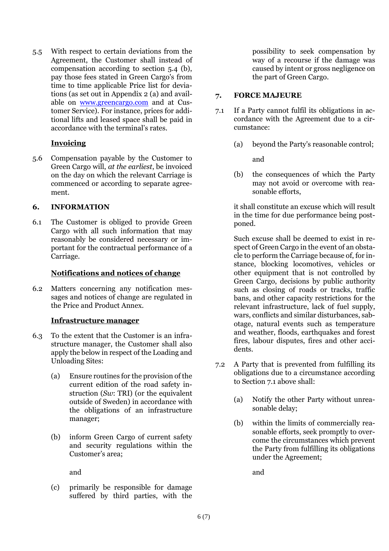5.5 With respect to certain deviations from the Agreement, the Customer shall instead of compensation according to section 5.4 (b), pay those fees stated in Green Cargo's from time to time applicable Price list for deviations (as set out in Appendix 2 (a) and available on [www.greencargo.com](http://www.greencargo.com/) and at Customer Service). For instance, prices for additional lifts and leased space shall be paid in accordance with the terminal's rates.

# **Invoicing**

5.6 Compensation payable by the Customer to Green Cargo will, *at the earliest*, be invoiced on the day on which the relevant Carriage is commenced or according to separate agreement.

# **6. INFORMATION**

6.1 The Customer is obliged to provide Green Cargo with all such information that may reasonably be considered necessary or important for the contractual performance of a Carriage.

# **Notifications and notices of change**

6.2 Matters concerning any notification messages and notices of change are regulated in the Price and Product Annex.

# **Infrastructure manager**

- 6.3 To the extent that the Customer is an infrastructure manager, the Customer shall also apply the below in respect of the Loading and Unloading Sites:
	- (a) Ensure routines for the provision of the current edition of the road safety instruction (*Sw*: TRI) (or the equivalent outside of Sweden) in accordance with the obligations of an infrastructure manager;
	- (b) inform Green Cargo of current safety and security regulations within the Customer's area;

and

(c) primarily be responsible for damage suffered by third parties, with the

possibility to seek compensation by way of a recourse if the damage was caused by intent or gross negligence on the part of Green Cargo.

# **7. FORCE MAJEURE**

- 7.1 If a Party cannot fulfil its obligations in accordance with the Agreement due to a circumstance:
	- (a) beyond the Party's reasonable control;

and

(b) the consequences of which the Party may not avoid or overcome with reasonable efforts,

it shall constitute an excuse which will result in the time for due performance being postponed.

Such excuse shall be deemed to exist in respect of Green Cargo in the event of an obstacle to perform the Carriage because of, for instance, blocking locomotives, vehicles or other equipment that is not controlled by Green Cargo, decisions by public authority such as closing of roads or tracks, traffic bans, and other capacity restrictions for the relevant infrastructure, lack of fuel supply, wars, conflicts and similar disturbances, sabotage, natural events such as temperature and weather, floods, earthquakes and forest fires, labour disputes, fires and other accidents.

- 7.2 A Party that is prevented from fulfilling its obligations due to a circumstance according to Section 7.1 above shall:
	- (a) Notify the other Party without unreasonable delay;
	- (b) within the limits of commercially reasonable efforts, seek promptly to overcome the circumstances which prevent the Party from fulfilling its obligations under the Agreement;

and